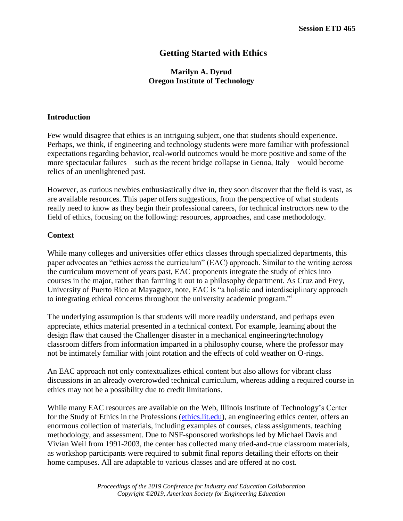# **Getting Started with Ethics**

# **Marilyn A. Dyrud Oregon Institute of Technology**

#### **Introduction**

Few would disagree that ethics is an intriguing subject, one that students should experience. Perhaps, we think, if engineering and technology students were more familiar with professional expectations regarding behavior, real-world outcomes would be more positive and some of the more spectacular failures—such as the recent bridge collapse in Genoa, Italy—would become relics of an unenlightened past.

However, as curious newbies enthusiastically dive in, they soon discover that the field is vast, as are available resources. This paper offers suggestions, from the perspective of what students really need to know as they begin their professional careers, for technical instructors new to the field of ethics, focusing on the following: resources, approaches, and case methodology.

### **Context**

While many colleges and universities offer ethics classes through specialized departments, this paper advocates an "ethics across the curriculum" (EAC) approach. Similar to the writing across the curriculum movement of years past, EAC proponents integrate the study of ethics into courses in the major, rather than farming it out to a philosophy department. As Cruz and Frey, University of Puerto Rico at Mayaguez, note, EAC is "a holistic and interdisciplinary approach to integrating ethical concerns throughout the university academic program."<sup>1</sup>

The underlying assumption is that students will more readily understand, and perhaps even appreciate, ethics material presented in a technical context. For example, learning about the design flaw that caused the Challenger disaster in a mechanical engineering/technology classroom differs from information imparted in a philosophy course, where the professor may not be intimately familiar with joint rotation and the effects of cold weather on O-rings.

An EAC approach not only contextualizes ethical content but also allows for vibrant class discussions in an already overcrowded technical curriculum, whereas adding a required course in ethics may not be a possibility due to credit limitations.

While many EAC resources are available on the Web, Illinois Institute of Technology's Center for the Study of Ethics in the Professions [\(ethics.iit.edu\)](file:///C:/Users/Marilyn/Desktop/CIEC%202019,%20Getting%20started/ethics.iit.edu), an engineering ethics center, offers an enormous collection of materials, including examples of courses, class assignments, teaching methodology, and assessment. Due to NSF-sponsored workshops led by Michael Davis and Vivian Weil from 1991-2003, the center has collected many tried-and-true classroom materials, as workshop participants were required to submit final reports detailing their efforts on their home campuses. All are adaptable to various classes and are offered at no cost.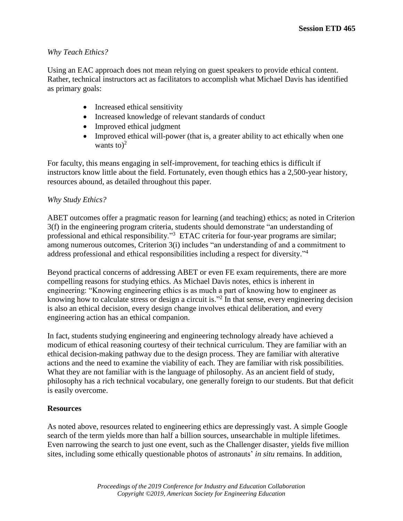# *Why Teach Ethics?*

Using an EAC approach does not mean relying on guest speakers to provide ethical content. Rather, technical instructors act as facilitators to accomplish what Michael Davis has identified as primary goals:

- Increased ethical sensitivity
- Increased knowledge of relevant standards of conduct
- Improved ethical judgment
- Improved ethical will-power (that is, a greater ability to act ethically when one wants to) $2$

For faculty, this means engaging in self-improvement, for teaching ethics is difficult if instructors know little about the field. Fortunately, even though ethics has a 2,500-year history, resources abound, as detailed throughout this paper.

## *Why Study Ethics?*

ABET outcomes offer a pragmatic reason for learning (and teaching) ethics; as noted in Criterion 3(f) in the engineering program criteria, students should demonstrate "an understanding of professional and ethical responsibility."<sup>3</sup> ETAC criteria for four-year programs are similar; among numerous outcomes, Criterion 3(i) includes "an understanding of and a commitment to address professional and ethical responsibilities including a respect for diversity." 4

Beyond practical concerns of addressing ABET or even FE exam requirements, there are more compelling reasons for studying ethics. As Michael Davis notes, ethics is inherent in engineering: "Knowing engineering ethics is as much a part of knowing how to engineer as knowing how to calculate stress or design a circuit is."<sup>2</sup> In that sense, every engineering decision is also an ethical decision, every design change involves ethical deliberation, and every engineering action has an ethical companion.

In fact, students studying engineering and engineering technology already have achieved a modicum of ethical reasoning courtesy of their technical curriculum. They are familiar with an ethical decision-making pathway due to the design process. They are familiar with alterative actions and the need to examine the viability of each. They are familiar with risk possibilities. What they are not familiar with is the language of philosophy. As an ancient field of study, philosophy has a rich technical vocabulary, one generally foreign to our students. But that deficit is easily overcome.

# **Resources**

As noted above, resources related to engineering ethics are depressingly vast. A simple Google search of the term yields more than half a billion sources, unsearchable in multiple lifetimes. Even narrowing the search to just one event, such as the Challenger disaster, yields five million sites, including some ethically questionable photos of astronauts' *in situ* remains. In addition,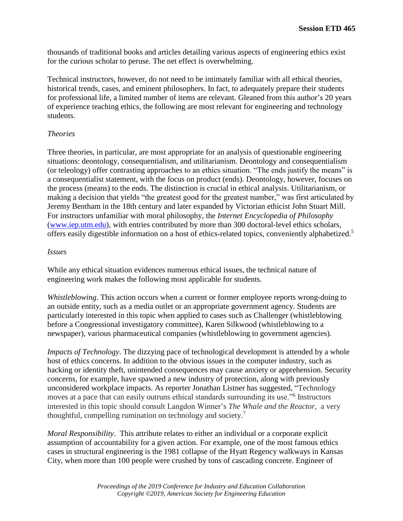thousands of traditional books and articles detailing various aspects of engineering ethics exist for the curious scholar to peruse. The net effect is overwhelming.

Technical instructors, however, do not need to be intimately familiar with all ethical theories, historical trends, cases, and eminent philosophers. In fact, to adequately prepare their students for professional life, a limited number of items are relevant. Gleaned from this author's 20 years of experience teaching ethics, the following are most relevant for engineering and technology students.

## *Theories*

Three theories, in particular, are most appropriate for an analysis of questionable engineering situations: deontology, consequentialism, and utilitarianism. Deontology and consequentialism (or teleology) offer contrasting approaches to an ethics situation. "The ends justify the means" is a consequentialist statement, with the focus on product (ends). Deontology, however, focuses on the process (means) to the ends. The distinction is crucial in ethical analysis. Utilitarianism, or making a decision that yields "the greatest good for the greatest number," was first articulated by Jeremy Bentham in the 18th century and later expanded by Victorian ethicist John Stuart Mill. For instructors unfamiliar with moral philosophy, the *Internet Encyclopedia of Philosophy* [\(www.iep.utm.edu\)](http://www.iep.utm.edu/), with entries contributed by more than 300 doctoral-level ethics scholars, offers easily digestible information on a host of ethics-related topics, conveniently alphabetized.<sup>5</sup>

#### *Issues*

While any ethical situation evidences numerous ethical issues, the technical nature of engineering work makes the following most applicable for students.

*Whistleblowing*. This action occurs when a current or former employee reports wrong-doing to an outside entity, such as a media outlet or an appropriate government agency. Students are particularly interested in this topic when applied to cases such as Challenger (whistleblowing before a Congressional investigatory committee), Karen Silkwood (whistleblowing to a newspaper), various pharmaceutical companies (whistleblowing to government agencies).

*Impacts of Technology*. The dizzying pace of technological development is attended by a whole host of ethics concerns. In addition to the obvious issues in the computer industry, such as hacking or identity theft, unintended consequences may cause anxiety or apprehension. Security concerns, for example, have spawned a new industry of protection, along with previously unconsidered workplace impacts. As reporter Jonathan Listner has suggested, "Technology moves at a pace that can easily outruns ethical standards surrounding its use."<sup>6</sup> Instructors interested in this topic should consult Langdon Winner's *The Whale and the Reactor*, a very thoughtful, compelling rumination on technology and society.<sup>7</sup>

*Moral Responsibility*. This attribute relates to either an individual or a corporate explicit assumption of accountability for a given action. For example, one of the most famous ethics cases in structural engineering is the 1981 collapse of the Hyatt Regency walkways in Kansas City, when more than 100 people were crushed by tons of cascading concrete. Engineer of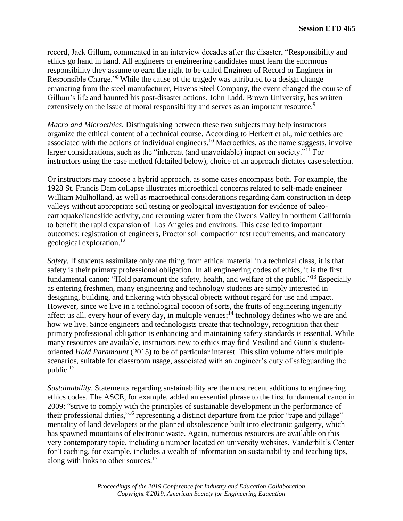record, Jack Gillum, commented in an interview decades after the disaster, "Responsibility and ethics go hand in hand. All engineers or engineering candidates must learn the enormous responsibility they assume to earn the right to be called Engineer of Record or Engineer in Responsible Charge."<sup>8</sup> While the cause of the tragedy was attributed to a design change emanating from the steel manufacturer, Havens Steel Company, the event changed the course of Gillum's life and haunted his post-disaster actions. John Ladd, Brown University, has written extensively on the issue of moral responsibility and serves as an important resource.<sup>9</sup>

*Macro and Microethics*. Distinguishing between these two subjects may help instructors organize the ethical content of a technical course. According to Herkert et al., microethics are associated with the actions of individual engineers.<sup>10</sup> Macroethics, as the name suggests, involve larger considerations, such as the "inherent (and unavoidable) impact on society."<sup>11</sup> For instructors using the case method (detailed below), choice of an approach dictates case selection.

Or instructors may choose a hybrid approach, as some cases encompass both. For example, the 1928 St. Francis Dam collapse illustrates microethical concerns related to self-made engineer William Mulholland, as well as macroethical considerations regarding dam construction in deep valleys without appropriate soil testing or geological investigation for evidence of paleoearthquake/landslide activity, and rerouting water from the Owens Valley in northern California to benefit the rapid expansion of Los Angeles and environs. This case led to important outcomes: registration of engineers, Proctor soil compaction test requirements, and mandatory geological exploration. 12

*Safety*. If students assimilate only one thing from ethical material in a technical class, it is that safety is their primary professional obligation. In all engineering codes of ethics, it is the first fundamental canon: "Hold paramount the safety, health, and welfare of the public."<sup>13</sup> Especially as entering freshmen, many engineering and technology students are simply interested in designing, building, and tinkering with physical objects without regard for use and impact. However, since we live in a technological cocoon of sorts, the fruits of engineering ingenuity affect us all, every hour of every day, in multiple venues;<sup>14</sup> technology defines who we are and how we live. Since engineers and technologists create that technology, recognition that their primary professional obligation is enhancing and maintaining safety standards is essential. While many resources are available, instructors new to ethics may find Vesilind and Gunn's studentoriented *Hold Paramount* (2015) to be of particular interest. This slim volume offers multiple scenarios, suitable for classroom usage, associated with an engineer's duty of safeguarding the public.<sup>15</sup>

*Sustainability*. Statements regarding sustainability are the most recent additions to engineering ethics codes. The ASCE, for example, added an essential phrase to the first fundamental canon in 2009: "strive to comply with the principles of sustainable development in the performance of their professional duties,"<sup>16</sup> representing a distinct departure from the prior "rape and pillage" mentality of land developers or the planned obsolescence built into electronic gadgetry, which has spawned mountains of electronic waste. Again, numerous resources are available on this very contemporary topic, including a number located on university websites. Vanderbilt's Center for Teaching, for example, includes a wealth of information on sustainability and teaching tips, along with links to other sources.<sup>17</sup>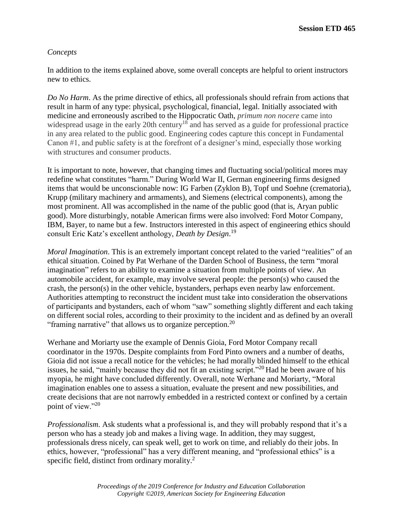# *Concepts*

In addition to the items explained above, some overall concepts are helpful to orient instructors new to ethics.

*Do No Harm*. As the prime directive of ethics, all professionals should refrain from actions that result in harm of any type: physical, psychological, financial, legal. Initially associated with medicine and erroneously ascribed to the Hippocratic Oath, *primum non nocere* came into widespread usage in the early 20th century<sup>18</sup> and has served as a guide for professional practice in any area related to the public good. Engineering codes capture this concept in Fundamental Canon #1, and public safety is at the forefront of a designer's mind, especially those working with structures and consumer products.

It is important to note, however, that changing times and fluctuating social/political mores may redefine what constitutes "harm." During World War II, German engineering firms designed items that would be unconscionable now: IG Farben (Zyklon B), Topf und Soehne (crematoria), Krupp (military machinery and armaments), and Siemens (electrical components), among the most prominent. All was accomplished in the name of the public good (that is, Aryan public good). More disturbingly, notable American firms were also involved: Ford Motor Company, IBM, Bayer, to name but a few. Instructors interested in this aspect of engineering ethics should consult Eric Katz's excellent anthology, *Death by Design*. 19

*Moral Imagination*. This is an extremely important concept related to the varied "realities" of an ethical situation. Coined by Pat Werhane of the Darden School of Business, the term "moral imagination" refers to an ability to examine a situation from multiple points of view. An automobile accident, for example, may involve several people: the person(s) who caused the crash, the person(s) in the other vehicle, bystanders, perhaps even nearby law enforcement. Authorities attempting to reconstruct the incident must take into consideration the observations of participants and bystanders, each of whom "saw" something slightly different and each taking on different social roles, according to their proximity to the incident and as defined by an overall "framing narrative" that allows us to organize perception.<sup>20</sup>

Werhane and Moriarty use the example of Dennis Gioia, Ford Motor Company recall coordinator in the 1970s. Despite complaints from Ford Pinto owners and a number of deaths, Gioia did not issue a recall notice for the vehicles; he had morally blinded himself to the ethical issues, he said, "mainly because they did not fit an existing script."<sup>20</sup> Had he been aware of his myopia, he might have concluded differently. Overall, note Werhane and Moriarty, "Moral imagination enables one to assess a situation, evaluate the present and new possibilities, and create decisions that are not narrowly embedded in a restricted context or confined by a certain point of view."20

*Professionalism*. Ask students what a professional is, and they will probably respond that it's a person who has a steady job and makes a living wage. In addition, they may suggest, professionals dress nicely, can speak well, get to work on time, and reliably do their jobs. In ethics, however, "professional" has a very different meaning, and "professional ethics" is a specific field, distinct from ordinary morality.<sup>2</sup>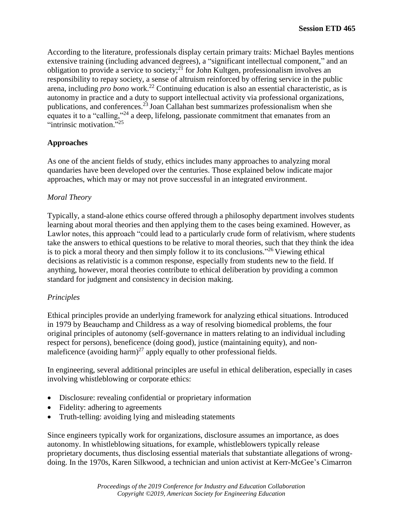According to the literature, professionals display certain primary traits: Michael Bayles mentions extensive training (including advanced degrees), a "significant intellectual component," and an obligation to provide a service to society;<sup>21</sup> for John Kultgen, professionalism involves an responsibility to repay society, a sense of altruism reinforced by offering service in the public arena, including *pro bono* work.<sup>22</sup> Continuing education is also an essential characteristic, as is autonomy in practice and a duty to support intellectual activity via professional organizations, publications, and conferences.<sup>23</sup> Joan Callahan best summarizes professionalism when she equates it to a "calling,"<sup>24</sup> a deep, lifelong, passionate commitment that emanates from an "intrinsic motivation."<sup>25</sup>

# **Approaches**

As one of the ancient fields of study, ethics includes many approaches to analyzing moral quandaries have been developed over the centuries. Those explained below indicate major approaches, which may or may not prove successful in an integrated environment.

## *Moral Theory*

Typically, a stand-alone ethics course offered through a philosophy department involves students learning about moral theories and then applying them to the cases being examined. However, as Lawlor notes, this approach "could lead to a particularly crude form of relativism, where students take the answers to ethical questions to be relative to moral theories, such that they think the idea is to pick a moral theory and then simply follow it to its conclusions."<sup>26</sup> Viewing ethical decisions as relativistic is a common response, especially from students new to the field. If anything, however, moral theories contribute to ethical deliberation by providing a common standard for judgment and consistency in decision making.

# *Principles*

Ethical principles provide an underlying framework for analyzing ethical situations. Introduced in 1979 by Beauchamp and Childress as a way of resolving biomedical problems, the four original principles of autonomy (self-governance in matters relating to an individual including respect for persons), beneficence (doing good), justice (maintaining equity), and nonmaleficence (avoiding harm)<sup>27</sup> apply equally to other professional fields.

In engineering, several additional principles are useful in ethical deliberation, especially in cases involving whistleblowing or corporate ethics:

- Disclosure: revealing confidential or proprietary information
- Fidelity: adhering to agreements
- Truth-telling: avoiding lying and misleading statements

Since engineers typically work for organizations, disclosure assumes an importance, as does autonomy. In whistleblowing situations, for example, whistleblowers typically release proprietary documents, thus disclosing essential materials that substantiate allegations of wrongdoing. In the 1970s, Karen Silkwood, a technician and union activist at Kerr-McGee's Cimarron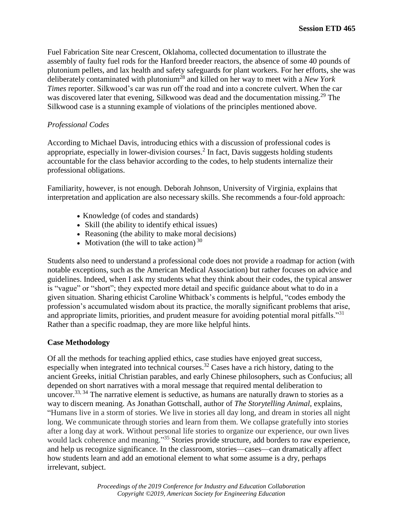Fuel Fabrication Site near Crescent, Oklahoma, collected documentation to illustrate the assembly of faulty fuel rods for the Hanford breeder reactors, the absence of some 40 pounds of plutonium pellets, and lax health and safety safeguards for plant workers. For her efforts, she was deliberately contaminated with plutonium<sup>28</sup> and killed on her way to meet with a *New York Times* reporter. Silkwood's car was run off the road and into a concrete culvert. When the car was discovered later that evening, Silkwood was dead and the documentation missing.<sup>29</sup> The Silkwood case is a stunning example of violations of the principles mentioned above.

### *Professional Codes*

According to Michael Davis, introducing ethics with a discussion of professional codes is appropriate, especially in lower-division courses. $<sup>2</sup>$  In fact, Davis suggests holding students</sup> accountable for the class behavior according to the codes, to help students internalize their professional obligations.

Familiarity, however, is not enough. Deborah Johnson, University of Virginia, explains that interpretation and application are also necessary skills. She recommends a four-fold approach:

- Knowledge (of codes and standards)
- Skill (the ability to identify ethical issues)
- Reasoning (the ability to make moral decisions)
- Motivation (the will to take action)  $30$

Students also need to understand a professional code does not provide a roadmap for action (with notable exceptions, such as the American Medical Association) but rather focuses on advice and guidelines. Indeed, when I ask my students what they think about their codes, the typical answer is "vague" or "short"; they expected more detail and specific guidance about what to do in a given situation. Sharing ethicist Caroline Whitback's comments is helpful, "codes embody the profession's accumulated wisdom about its practice, the morally significant problems that arise, and appropriate limits, priorities, and prudent measure for avoiding potential moral pitfalls."<sup>31</sup> Rather than a specific roadmap, they are more like helpful hints.

### **Case Methodology**

Of all the methods for teaching applied ethics, case studies have enjoyed great success, especially when integrated into technical courses.<sup>32</sup> Cases have a rich history, dating to the ancient Greeks, initial Christian parables, and early Chinese philosophers, such as Confucius; all depended on short narratives with a moral message that required mental deliberation to uncover.<sup>33, 34</sup> The narrative element is seductive, as humans are naturally drawn to stories as a way to discern meaning. As Jonathan Gottschall, author of *The Storytelling Animal*, explains, "Humans live in a storm of stories. We live in stories all day long, and dream in stories all night long. We communicate through stories and learn from them. We collapse gratefully into stories after a long day at work. Without personal life stories to organize our experience, our own lives would lack coherence and meaning."<sup>35</sup> Stories provide structure, add borders to raw experience, and help us recognize significance. In the classroom, stories—cases—can dramatically affect how students learn and add an emotional element to what some assume is a dry, perhaps irrelevant, subject.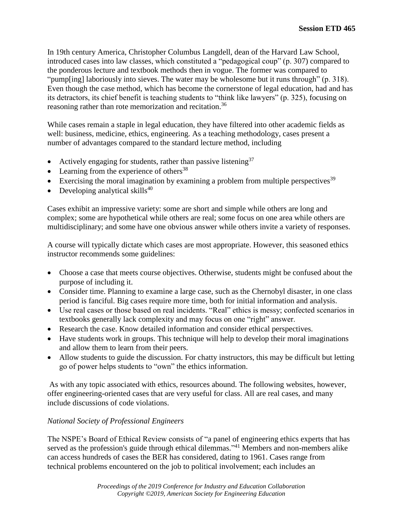In 19th century America, Christopher Columbus Langdell, dean of the Harvard Law School, introduced cases into law classes, which constituted a "pedagogical coup" (p. 307) compared to the ponderous lecture and textbook methods then in vogue. The former was compared to "pump[ing] laboriously into sieves. The water may be wholesome but it runs through" (p. 318). Even though the case method, which has become the cornerstone of legal education, had and has its detractors, its chief benefit is teaching students to "think like lawyers" (p. 325), focusing on reasoning rather than rote memorization and recitation.<sup>36</sup>

While cases remain a staple in legal education, they have filtered into other academic fields as well: business, medicine, ethics, engineering. As a teaching methodology, cases present a number of advantages compared to the standard lecture method, including

- Actively engaging for students, rather than passive listening<sup>37</sup>
- Learning from the experience of others $38$
- Exercising the moral imagination by examining a problem from multiple perspectives<sup>39</sup>
- Developing analytical skills $40$

Cases exhibit an impressive variety: some are short and simple while others are long and complex; some are hypothetical while others are real; some focus on one area while others are multidisciplinary; and some have one obvious answer while others invite a variety of responses.

A course will typically dictate which cases are most appropriate. However, this seasoned ethics instructor recommends some guidelines:

- Choose a case that meets course objectives. Otherwise, students might be confused about the purpose of including it.
- Consider time. Planning to examine a large case, such as the Chernobyl disaster, in one class period is fanciful. Big cases require more time, both for initial information and analysis.
- Use real cases or those based on real incidents. "Real" ethics is messy; confected scenarios in textbooks generally lack complexity and may focus on one "right" answer.
- Research the case. Know detailed information and consider ethical perspectives.
- Have students work in groups. This technique will help to develop their moral imaginations and allow them to learn from their peers.
- Allow students to guide the discussion. For chatty instructors, this may be difficult but letting go of power helps students to "own" the ethics information.

As with any topic associated with ethics, resources abound. The following websites, however, offer engineering-oriented cases that are very useful for class. All are real cases, and many include discussions of code violations.

# *National Society of Professional Engineers*

The NSPE's Board of Ethical Review consists of "a panel of engineering ethics experts that has served as the profession's guide through ethical dilemmas."<sup>41</sup> Members and non-members alike can access hundreds of cases the BER has considered, dating to 1961. Cases range from technical problems encountered on the job to political involvement; each includes an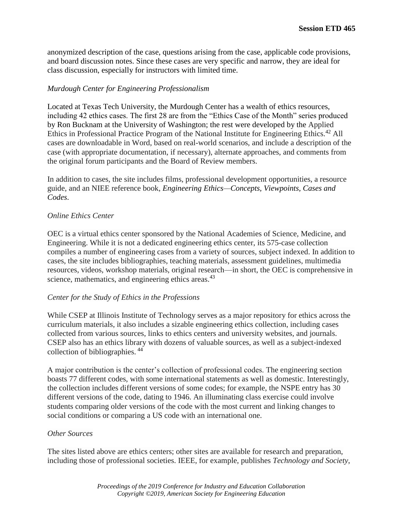anonymized description of the case, questions arising from the case, applicable code provisions, and board discussion notes. Since these cases are very specific and narrow, they are ideal for class discussion, especially for instructors with limited time.

## *Murdough Center for Engineering Professionalism*

Located at Texas Tech University, the Murdough Center has a wealth of ethics resources, including 42 ethics cases. The first 28 are from the "Ethics Case of the Month" series produced by Ron Bucknam at the University of Washington; the rest were developed by the Applied Ethics in Professional Practice Program of the National Institute for Engineering Ethics.<sup>42</sup> All cases are downloadable in Word, based on real-world scenarios, and include a description of the case (with appropriate documentation, if necessary), alternate approaches, and comments from the original forum participants and the Board of Review members.

In addition to cases, the site includes films, professional development opportunities, a resource guide, and an NIEE reference book, *Engineering Ethics—Concepts, Viewpoints, Cases and Codes*.

### *Online Ethics Center*

OEC is a virtual ethics center sponsored by the National Academies of Science, Medicine, and Engineering. While it is not a dedicated engineering ethics center, its 575-case collection compiles a number of engineering cases from a variety of sources, subject indexed. In addition to cases, the site includes bibliographies, teaching materials, assessment guidelines, multimedia resources, videos, workshop materials, original research—in short, the OEC is comprehensive in science, mathematics, and engineering ethics areas.<sup>43</sup>

### *Center for the Study of Ethics in the Professions*

While CSEP at Illinois Institute of Technology serves as a major repository for ethics across the curriculum materials, it also includes a sizable engineering ethics collection, including cases collected from various sources, links to ethics centers and university websites, and journals. CSEP also has an ethics library with dozens of valuable sources, as well as a subject-indexed collection of bibliographies. <sup>44</sup>

A major contribution is the center's collection of professional codes. The engineering section boasts 77 different codes, with some international statements as well as domestic. Interestingly, the collection includes different versions of some codes; for example, the NSPE entry has 30 different versions of the code, dating to 1946. An illuminating class exercise could involve students comparing older versions of the code with the most current and linking changes to social conditions or comparing a US code with an international one.

### *Other Sources*

The sites listed above are ethics centers; other sites are available for research and preparation, including those of professional societies. IEEE, for example, publishes *Technology and Society*,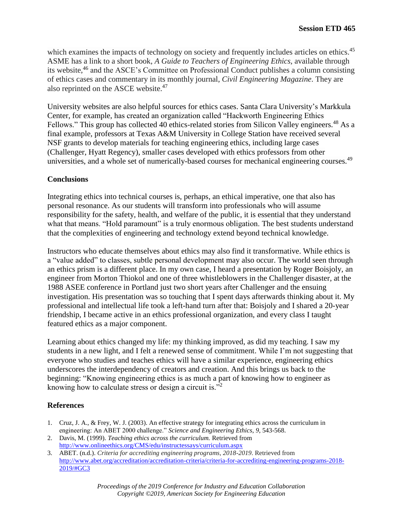which examines the impacts of technology on society and frequently includes articles on ethics.<sup>45</sup> ASME has a link to a short book, *A Guide to Teachers of Engineering Ethics*, available through its website,<sup>46</sup> and the ASCE's Committee on Professional Conduct publishes a column consisting of ethics cases and commentary in its monthly journal, *Civil Engineering Magazine*. They are also reprinted on the ASCE website.<sup>47</sup>

University websites are also helpful sources for ethics cases. Santa Clara University's Markkula Center, for example, has created an organization called "Hackworth Engineering Ethics Fellows." This group has collected 40 ethics-related stories from Silicon Valley engineers.<sup>48</sup> As a final example, professors at Texas A&M University in College Station have received several NSF grants to develop materials for teaching engineering ethics, including large cases (Challenger, Hyatt Regency), smaller cases developed with ethics professors from other universities, and a whole set of numerically-based courses for mechanical engineering courses.<sup>49</sup>

## **Conclusions**

Integrating ethics into technical courses is, perhaps, an ethical imperative, one that also has personal resonance. As our students will transform into professionals who will assume responsibility for the safety, health, and welfare of the public, it is essential that they understand what that means. "Hold paramount" is a truly enormous obligation. The best students understand that the complexities of engineering and technology extend beyond technical knowledge.

Instructors who educate themselves about ethics may also find it transformative. While ethics is a "value added" to classes, subtle personal development may also occur. The world seen through an ethics prism is a different place. In my own case, I heard a presentation by Roger Boisjoly, an engineer from Morton Thiokol and one of three whistleblowers in the Challenger disaster, at the 1988 ASEE conference in Portland just two short years after Challenger and the ensuing investigation. His presentation was so touching that I spent days afterwards thinking about it. My professional and intellectual life took a left-hand turn after that: Boisjoly and I shared a 20-year friendship, I became active in an ethics professional organization, and every class I taught featured ethics as a major component.

Learning about ethics changed my life: my thinking improved, as did my teaching. I saw my students in a new light, and I felt a renewed sense of commitment. While I'm not suggesting that everyone who studies and teaches ethics will have a similar experience, engineering ethics underscores the interdependency of creators and creation. And this brings us back to the beginning: "Knowing engineering ethics is as much a part of knowing how to engineer as knowing how to calculate stress or design a circuit is."<sup>2</sup>

# **References**

- 1. Cruz, J. A., & Frey, W. J. (2003). An effective strategy for integrating ethics across the curriculum in engineering: An ABET 2000 challenge." *Science and Engineering Ethics*, *9*, 543-568.
- 2. Davis, M. (1999). *Teaching ethics across the curriculum.* Retrieved from <http://www.onlineethics.org/CMS/edu/instructessays/curriculum.aspx>
- 3. ABET. (n.d.). *Criteria for accrediting engineering programs, 2018-2019*. Retrieved from [http://www.abet.org/accreditation/accreditation-criteria/criteria-for-accrediting-engineering-programs-2018-](http://www.abet.org/accreditation/accreditation-criteria/criteria-for-accrediting-engineering-programs-2018-2019/#GC3) [2019/#GC3](http://www.abet.org/accreditation/accreditation-criteria/criteria-for-accrediting-engineering-programs-2018-2019/#GC3)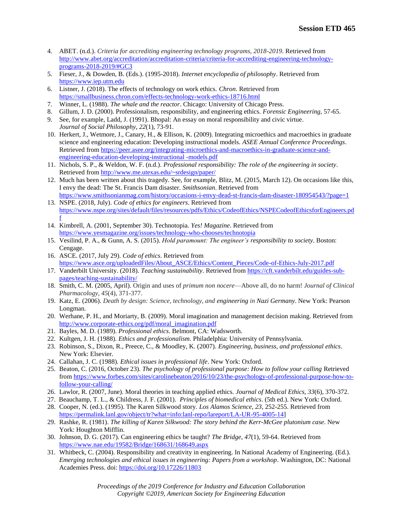- 4. ABET. (n.d.). *Criteria for accrediting engineering technology programs, 2018-2019*. Retrieved from [http://www.abet.org/accreditation/accreditation-criteria/criteria-for-accrediting-engineering-technology](http://www.abet.org/accreditation/accreditation-criteria/criteria-for-accrediting-engineering-technology-programs-2018-2019/#GC3)[programs-2018-2019/#GC3](http://www.abet.org/accreditation/accreditation-criteria/criteria-for-accrediting-engineering-technology-programs-2018-2019/#GC3)
- 5. Fieser, J., & Dowden, B. (Eds.). (1995-2018). *Internet encyclopedia of philosophy*. Retrieved from [https://www.iep.utm.edu](https://www.iep.utm.edu/)
- 6. Listner, J. (2018). The effects of technology on work ethics. *Chron*. Retrieved from <https://smallbusiness.chron.com/effects-technology-work-ethics-18716.html>
- 7. Winner, L. (1988). *The whale and the reactor*. Chicago: University of Chicago Press.
- 8. Gillum, J. D. (2000). Professionalism, responsibility, and engineering ethics. *Forensic Engineering*, 57-65.
- 9. See, for example, Ladd, J. (1991). [Bhopal: An essay on moral responsibility and civic virtue.](https://philpapers.org/go.pl?id=JOHBAE&proxyId=&u=http%3A%2F%2Fdx.doi.org%2F10.1111%2Fj.1467-9833.1991.tb00022.x) *[Journal of Social Philosophy](https://philpapers.org/asearch.pl?pub=594)*, *22*(1), 73-91.
- 10. Herkert, J., Wetmore, J., Canary, H., & Ellison, K. (2009). Integrating microethics and macroethics in graduate science and engineering education: Developing instructional models. *ASEE Annual Conference Proceedings*. Retrieved from [https://peer.asee.org/integrating-microethics-and-macroethics-in-graduate-science-and](https://peer.asee.org/integrating-microethics-and-macroethics-in-graduate-science-and-engineering-education-developing-instructional%20-models.pdf)[engineering-education-developing-instructional -models.pdf](https://peer.asee.org/integrating-microethics-and-macroethics-in-graduate-science-and-engineering-education-developing-instructional%20-models.pdf)
- 11. Nichols, S. P., & Weldon, W. F. (n.d.). *Professional responsibility: The role of the engineering in society*. Retrieved from<http://www.me.utexas.edu/~srdesign/paper/>
- 12. Much has been written about this tragedy. See, for example, Blitz, M. (2015, March 12). On occasions like this, I envy the dead: The St. Francis Dam disaster. *Smithsonian*. Retrieved from <https://www.smithsonianmag.com/history/occasions-i-envy-dead-st-francis-dam-disaster-180954543/?page=1>
- 13. NSPE. (2018, July). *Code of ethics for engineers*. Retrieved from [https://www.nspe.org/sites/default/files/resources/pdfs/Ethics/CodeofEthics/NSPECodeofEthicsforEngineers.pd](https://www.nspe.org/sites/default/files/resources/pdfs/Ethics/CodeofEthics/NSPECodeofEthicsforEngineers.pdf) [f](https://www.nspe.org/sites/default/files/resources/pdfs/Ethics/CodeofEthics/NSPECodeofEthicsforEngineers.pdf)
- 14. Kimbrell, A. (2001, September 30). Technotopia. *Yes! Magazine*. Retrieved from <https://www.yesmagazine.org/issues/technology-who-chooses/technotopia>
- 15. Vesilind, P. A., & Gunn, A. S. (2015). *Hold paramount: The engineer's responsibility to society*. Boston: Cengage.
- 16. ASCE. (2017, July 29). *Code of ethics*. Retrieved from [https://www.asce.org/uploadedFiles/About\\_ASCE/Ethics/Content\\_Pieces/Code-of-Ethics-July-2017.pdf](https://www.asce.org/uploadedFiles/About_ASCE/Ethics/Content_Pieces/Code-of-Ethics-July-2017.pdf)
- 17. Vanderbilt University. (2018). *Teaching sustainability*. Retrieved from [https://cft.vanderbilt.edu/guides-sub](https://cft.vanderbilt.edu/guides-sub-pages/teaching-sustainability/)[pages/teaching-sustainability/](https://cft.vanderbilt.edu/guides-sub-pages/teaching-sustainability/)
- 18. Smith, C. M. (2005, April). Origin and uses of *primum non nocere*—Above all, do no harm! *Journal of Clinical Pharmacology*, *45*(4), 371-377.
- 19. Katz, E. (2006). *Death by design: Science, technology, and engineering in Nazi Germany*. New York: Pearson Longman.
- 20. Werhane, P. H., and Moriarty, B. (2009). Moral imagination and management decision making. Retrieved from [http://www.corporate-ethics.org/pdf/moral\\_imagination.pdf](http://www.corporate-ethics.org/pdf/moral_imagination.pdf)
- 21. Bayles, M. D. (1989). *Professional ethics*. Belmont, CA: Wadsworth.
- 22. Kultgen, J. H. (1988). *Ethics and professionalism*. Philadelphia: University of Pennsylvania.
- 23. Robinson, S., Dixon, R., Preece, C., & Moodley, K. (2007). *Engineering, business, and professional ethics*. New York: Elsevier.
- 24. Callahan, J. C. (1988). *Ethical issues in professional life*. New York: Oxford.
- 25. Beaton, C. (2016, October 23). *The psychology of professional purpose: How to follow your calling* Retrieved from [https://www.forbes.com/sites/carolinebeaton/2016/10/23/the-psychology-of-professional-purpose-how-to](https://www.forbes.com/sites/carolinebeaton/2016/10/23/the-psychology-of-professional-purpose-how-to-follow-your-calling/)[follow-your-calling/](https://www.forbes.com/sites/carolinebeaton/2016/10/23/the-psychology-of-professional-purpose-how-to-follow-your-calling/)
- 26. Lawlor, R. (2007, June). Moral theories in teaching applied ethics. *Journal of Medical Ethics*, *33*(6), 370-372.
- 27. Beauchamp, T. L., & Childress, J. F. (2001). *Principles of biomedical ethics*. (5th ed.). New York: Oxford.
- 28. Cooper, N. (ed.). (1995). The Karen Silkwood story. *Los Alamos Science*, *23*, 252-255. Retrieved from [https://permalink.lanl.gov/object/tr?what=info:lanl-repo/lareport/LA-UR-95-4005-14\]](https://permalink.lanl.gov/object/tr?what=info:lanl-repo/lareport/LA-UR-95-4005-14)
- 29. Rashke, R. (1981). *The killing of Karen Silkwood: The story behind the Kerr-McGee plutonium case*. New York: Houghton Mifflin.
- 30. Johnson, D. G. (2017). Can engineering ethics be taught? *The Bridge*, *47*(1), 59-64. Retrieved from <https://www.nae.edu/19582/Bridge/168631/168649.aspx>
- 31. Whitbeck, C. (2004). Responsibility and creativity in engineering. In National Academy of Engineering. (Ed.). *Emerging technologies and ethical issues in engineering: Papers from a workshop*. Washington, DC: National Academies Press. doi:<https://doi.org/10.17226/11803>